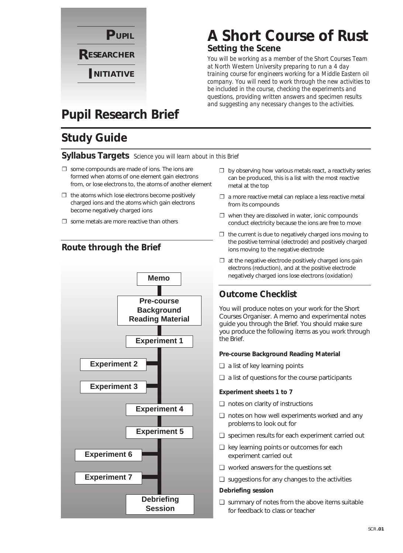

### **A Short Course of Rust Setting the Scene**

*You will be working as a member of the Short Courses Team at North Western University preparing to run a 4 day training course for engineers working for a Middle Eastern oil company. You will need to work through the new activities to be included in the course, checking the experiments and questions, providing written answers and specimen results and suggesting any necessary changes to the activities.*

### **Pupil Research Brief**

### **Study Guide**

#### **Syllabus Targets** *Science you will learn about in this Brief*

- $\square$  some compounds are made of ions. The ions are formed when atoms of one element gain electrons from, or lose electrons to, the atoms of another element
- $\Box$  the atoms which lose electrons become positively charged ions and the atoms which gain electrons become negatively charged ions
- $\square$  some metals are more reactive than others

### **Route through the Brief**



- $\square$  by observing how various metals react, a reactivity series can be produced, this is a list with the most reactive metal at the top
- $\square$  a more reactive metal can replace a less reactive metal from its compounds
- $\square$  when they are dissolved in water, ionic compounds conduct electricity because the ions are free to move
- $\Box$  the current is due to negatively charged ions moving to the positive terminal (electrode) and positively charged ions moving to the negative electrode
- $\Box$  at the negative electrode positively charged ions gain electrons (reduction), and at the positive electrode negatively charged ions lose electrons (oxidation)

### **Outcome Checklist**

You will produce notes on your work for the Short Courses Organiser. A memo and experimental notes guide you through the Brief. You should make sure you produce the following items as you work through the Brief.

#### **Pre-course Background Reading Material**

- ❏ a list of key learning points
- ❏ a list of questions for the course participants

#### **Experiment sheets 1 to 7**

- ❏ notes on clarity of instructions
- ❏ notes on how well experiments worked and any problems to look out for
- ❏ specimen results for each experiment carried out
- ❏ key learning points or outcomes for each experiment carried out
- ❏ worked answers for the questions set
- ❏ suggestions for any changes to the activities

#### **Debriefing session**

❏ summary of notes from the above items suitable for feedback to class or teacher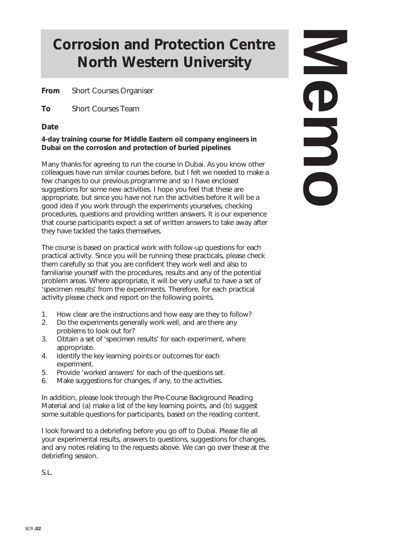### **Corrosion and Protection Centre North Western University**

**From** Short Courses Organiser

**To** Short Courses Team

**Date**

#### **4-day training course for Middle Eastern oil company engineers in Dubai on the corrosion and protection of buried pipelines**

Many thanks for agreeing to run the course in Dubai. As you know other colleagues have run similar courses before, but I felt we needed to make a few changes to our previous programme and so I have enclosed suggestions for some new activities. I hope you feel that these are appropriate, but since you have not run the activities before it will be a good idea if you work through the experiments yourselves, checking procedures, questions and providing written answers. It is our experience that course participants expect a set of written answers to take away after they have tackled the tasks themselves.

The course is based on practical work with follow-up questions for each practical activity. Since you will be running these practicals, please check them carefully so that you are confident they work well and also to familiarise yourself with the procedures, results and any of the potential problem areas. Where appropriate, it will be very useful to have a set of 'specimen results' from the experiments. Therefore, for each practical activity please check and report on the following points.

- 1. How clear are the instructions and how easy are they to follow?
- 2. Do the experiments generally work well, and are there any problems to look out for?
- 3. Obtain a set of 'specimen results' for each experiment, where appropriate.
- 4. Identify the key learning points or outcomes for each experiment.
- 5. Provide 'worked answers' for each of the questions set.
- 6. Make suggestions for changes, if any, to the activities.

In addition, please look through the Pre-Course Background Reading Material and (a) make a list of the key learning points, and (b) suggest some suitable questions for participants, based on the reading content.

I look forward to a debriefing before you go off to Dubai. Please file all your experimental results, answers to questions, suggestions for changes, and any notes relating to the requests above. We can go over these at the debriefing session.

S.L.

**Memorie**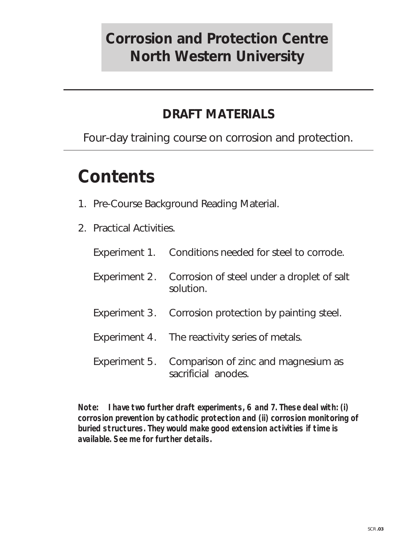## **Corrosion and Protection Centre North Western University**

### **DRAFT MATERIALS**

Four-day training course on corrosion and protection.

# **Contents**

- 1. Pre-Course Background Reading Material.
- 2. Practical Activities.

| Experiment 1. Conditions needed for steel to corrode.                    |
|--------------------------------------------------------------------------|
| Experiment 2. Corrosion of steel under a droplet of salt<br>solution.    |
| Experiment 3. Corrosion protection by painting steel.                    |
| Experiment 4. The reactivity series of metals.                           |
| Experiment 5. Comparison of zinc and magnesium as<br>sacrificial anodes. |

**Note: I have two further draft experiments, 6 and 7. These deal with: (i) corrosion prevention by cathodic protection and (ii) corrosion monitoring of buried structures. They would make good extension activities if time is available. See me for further details.**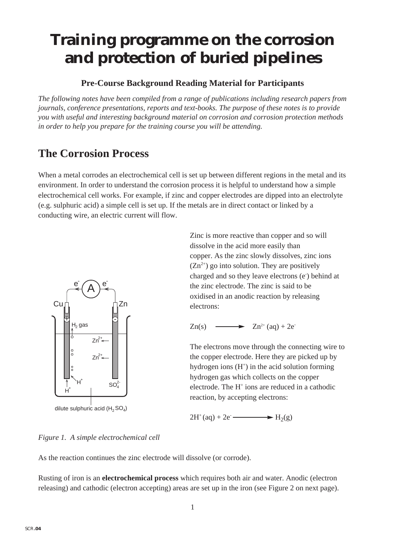## **Training programme on the corrosion and protection of buried pipelines**

#### **Pre-Course Background Reading Material for Participants**

*The following notes have been compiled from a range of publications including research papers from journals, conference presentations, reports and text-books. The purpose of these notes is to provide you with useful and interesting background material on corrosion and corrosion protection methods in order to help you prepare for the training course you will be attending.*

### **The Corrosion Process**

When a metal corrodes an electrochemical cell is set up between different regions in the metal and its environment. In order to understand the corrosion process it is helpful to understand how a simple electrochemical cell works. For example, if zinc and copper electrodes are dipped into an electrolyte (e.g. sulphuric acid) a simple cell is set up. If the metals are in direct contact or linked by a conducting wire, an electric current will flow.



dilute sulphuric acid  $(H, SO_A)$ 

Zinc is more reactive than copper and so will dissolve in the acid more easily than copper. As the zinc slowly dissolves, zinc ions  $(Zn^{2+})$  go into solution. They are positively charged and so they leave electrons (e) behind at the zinc electrode. The zinc is said to be oxidised in an anodic reaction by releasing electrons:

 $Zn(s)$   $\longrightarrow Zn^{2+} (aq) + 2e^{-}$ 

The electrons move through the connecting wire to the copper electrode. Here they are picked up by hydrogen ions  $(H^+)$  in the acid solution forming hydrogen gas which collects on the copper electrode. The  $H^+$  ions are reduced in a cathodic reaction, by accepting electrons:

$$
2H^+(aq) + 2e^- \longrightarrow H_2(g)
$$

*Figure 1. A simple electrochemical cell*

As the reaction continues the zinc electrode will dissolve (or corrode).

Rusting of iron is an **electrochemical process** which requires both air and water. Anodic (electron releasing) and cathodic (electron accepting) areas are set up in the iron (see Figure 2 on next page).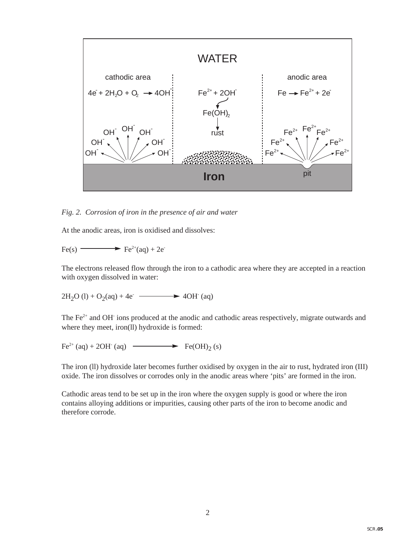

*Fig. 2. Corrosion of iron in the presence of air and water*

At the anodic areas, iron is oxidised and dissolves:

 $Fe(s)$  Fe<sup>2+</sup>(aq) + 2e<sup>-</sup>

The electrons released flow through the iron to a cathodic area where they are accepted in a reaction with oxygen dissolved in water:

 $2H_2O (l) + O_2(aq) + 4e^ \longrightarrow$  4OH (aq)

The  $Fe<sup>2+</sup>$  and OH<sup>-</sup> ions produced at the anodic and cathodic areas respectively, migrate outwards and where they meet, iron(ll) hydroxide is formed:

 $Fe^{2+}$  (aq) + 2OH· (aq)  $\longrightarrow$  Fe(OH)<sub>2</sub> (s)

The iron (ll) hydroxide later becomes further oxidised by oxygen in the air to rust, hydrated iron (III) oxide. The iron dissolves or corrodes only in the anodic areas where 'pits' are formed in the iron.

Cathodic areas tend to be set up in the iron where the oxygen supply is good or where the iron contains alloying additions or impurities, causing other parts of the iron to become anodic and therefore corrode.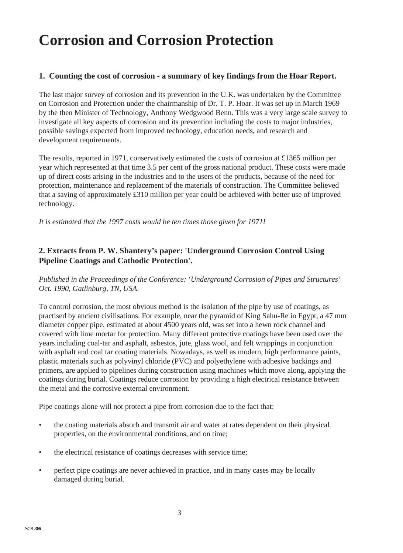### **Corrosion and Corrosion Protection**

#### **1. Counting the cost of corrosion - a summary of key findings from the Hoar Report.**

The last major survey of corrosion and its prevention in the U.K. was undertaken by the Committee on Corrosion and Protection under the chairmanship of Dr. T. P. Hoar. It was set up in March 1969 by the then Minister of Technology, Anthony Wedgwood Benn. This was a very large scale survey to investigate all key aspects of corrosion and its prevention including the costs to major industries, possible savings expected from improved technology, education needs, and research and development requirements.

The results, reported in 1971, conservatively estimated the costs of corrosion at £1365 million per year which represented at that time 3.5 per cent of the gross national product. These costs were made up of direct costs arising in the industries and to the users of the products, because of the need for protection, maintenance and replacement of the materials of construction. The Committee believed that a saving of approximately £310 million per year could be achieved with better use of improved technology.

*It is estimated that the 1997 costs would be ten times those given for 1971!*

#### **2. Extracts from P. W. Shantery's paper: 'Underground Corrosion Control Using Pipeline Coatings and Cathodic Protection'.**

*Published in the Proceedings of the Conference: 'Underground Corrosion of Pipes and Structures' Oct. 1990, Gatlinburg, TN, USA*.

To control corrosion, the most obvious method is the isolation of the pipe by use of coatings, as practised by ancient civilisations. For example, near the pyramid of King Sahu-Re in Egypt, a 47 mm diameter copper pipe, estimated at about 4500 years old, was set into a hewn rock channel and covered with lime mortar for protection. Many different protective coatings have been used over the years including coal-tar and asphalt, asbestos, jute, glass wool, and felt wrappings in conjunction with asphalt and coal tar coating materials. Nowadays, as well as modern, high performance paints, plastic materials such as polyvinyl chloride (PVC) and polyethylene with adhesive backings and primers, are applied to pipelines during construction using machines which move along, applying the coatings during burial. Coatings reduce corrosion by providing a high electrical resistance between the metal and the corrosive external environment.

Pipe coatings alone will not protect a pipe from corrosion due to the fact that:

- the coating materials absorb and transmit air and water at rates dependent on their physical properties, on the environmental conditions, and on time;
- the electrical resistance of coatings decreases with service time;
- perfect pipe coatings are never achieved in practice, and in many cases may be locally damaged during burial.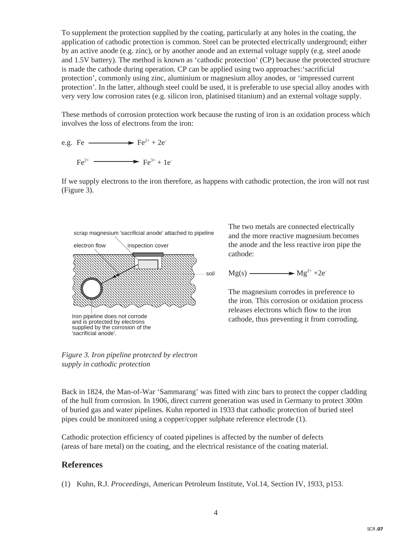To supplement the protection supplied by the coating, particularly at any holes in the coating, the application of cathodic protection is common. Steel can be protected electrically underground; either by an active anode (e.g. zinc), or by another anode and an external voltage supply (e.g. steel anode and 1.5V battery). The method is known as 'cathodic protection' (CP) because the protected structure is made the cathode during operation. CP can be applied using two approaches:'sacrificial protection', commonly using zinc, aluminium or magnesium alloy anodes, or 'impressed current protection'. In the latter, although steel could be used, it is preferable to use special alloy anodes with very very low corrosion rates (e.g. silicon iron, platinised titanium) and an external voltage supply.

These methods of corrosion protection work because the rusting of iron is an oxidation process which involves the loss of electrons from the iron:

- e.g. Fe  $\longrightarrow \text{Fe}^{2+} + 2\text{e}^{-}$ 
	- $Fe^{2+}$  Fe<sup>2+</sup> + 1e<sup>-</sup>

If we supply electrons to the iron therefore, as happens with cathodic protection, the iron will not rust (Figure 3).



*Figure 3. Iron pipeline protected by electron supply in cathodic protection*

The two metals are connected electrically and the more reactive magnesium becomes the anode and the less reactive iron pipe the cathode:

$$
Mg(s) \longrightarrow g^{2+} + 2e^{-}
$$

The magnesium corrodes in preference to the iron. This corrosion or oxidation process releases electrons which flow to the iron cathode, thus preventing it from corroding.

Back in 1824, the Man-of-War 'Sammarang' was fitted with zinc bars to protect the copper cladding of the hull from corrosion. In 1906, direct current generation was used in Germany to protect 300m of buried gas and water pipelines. Kuhn reported in 1933 that cathodic protection of buried steel pipes could be monitored using a copper/copper sulphate reference electrode (1).

Cathodic protection efficiency of coated pipelines is affected by the number of defects (areas of bare metal) on the coating, and the electrical resistance of the coating material.

#### **References**

(1) Kuhn, R.J. *Proceedings,* American Petroleum Institute, Vol.14, Section IV, 1933, p153.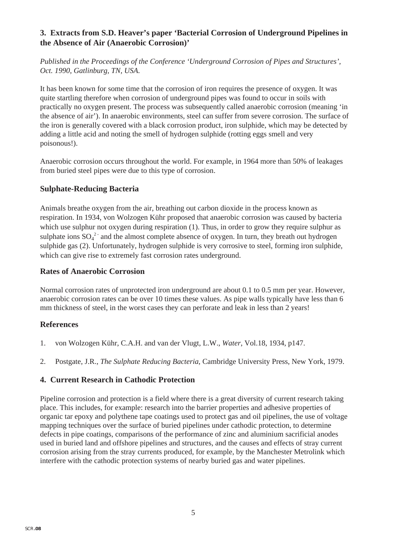#### **3. Extracts from S.D. Heaver's paper 'Bacterial Corrosion of Underground Pipelines in the Absence of Air (Anaerobic Corrosion)'**

*Published in the Proceedings of the Conference 'Underground Corrosion of Pipes and Structures', Oct. 1990, Gatlinburg, TN, USA.*

It has been known for some time that the corrosion of iron requires the presence of oxygen. It was quite startling therefore when corrosion of underground pipes was found to occur in soils with practically no oxygen present. The process was subsequently called anaerobic corrosion (meaning 'in the absence of air'). In anaerobic environments, steel can suffer from severe corrosion. The surface of the iron is generally covered with a black corrosion product, iron sulphide, which may be detected by adding a little acid and noting the smell of hydrogen sulphide (rotting eggs smell and very poisonous!).

Anaerobic corrosion occurs throughout the world. For example, in 1964 more than 50% of leakages from buried steel pipes were due to this type of corrosion.

#### **Sulphate-Reducing Bacteria**

Animals breathe oxygen from the air, breathing out carbon dioxide in the process known as respiration. In 1934, von Wolzogen Kühr proposed that anaerobic corrosion was caused by bacteria which use sulphur not oxygen during respiration (1). Thus, in order to grow they require sulphur as sulphate ions  $SO_4^2$  and the almost complete absence of oxygen. In turn, they breath out hydrogen sulphide gas (2). Unfortunately, hydrogen sulphide is very corrosive to steel, forming iron sulphide, which can give rise to extremely fast corrosion rates underground.

#### **Rates of Anaerobic Corrosion**

Normal corrosion rates of unprotected iron underground are about 0.1 to 0.5 mm per year. However, anaerobic corrosion rates can be over 10 times these values. As pipe walls typically have less than 6 mm thickness of steel, in the worst cases they can perforate and leak in less than 2 years!

#### **References**

- 1. von Wolzogen Kühr, C.A.H. and van der Vlugt, L.W., *Water*, Vol.18, 1934, p147.
- 2. Postgate, J.R., *The Sulphate Reducing Bacteria*, Cambridge University Press, New York, 1979.

#### **4. Current Research in Cathodic Protection**

Pipeline corrosion and protection is a field where there is a great diversity of current research taking place. This includes, for example: research into the barrier properties and adhesive properties of organic tar epoxy and polythene tape coatings used to protect gas and oil pipelines, the use of voltage mapping techniques over the surface of buried pipelines under cathodic protection, to determine defects in pipe coatings, comparisons of the performance of zinc and aluminium sacrificial anodes used in buried land and offshore pipelines and structures, and the causes and effects of stray current corrosion arising from the stray currents produced, for example, by the Manchester Metrolink which interfere with the cathodic protection systems of nearby buried gas and water pipelines.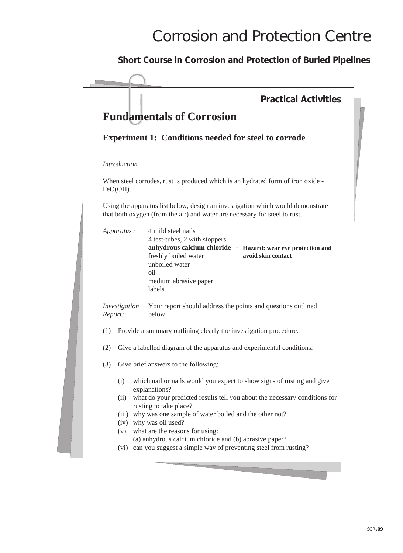|         |                                                                       | <b>Practical Activities</b>                                                                                                                                                                                                                                                                                                                                                                                                                                      |  |  |  |
|---------|-----------------------------------------------------------------------|------------------------------------------------------------------------------------------------------------------------------------------------------------------------------------------------------------------------------------------------------------------------------------------------------------------------------------------------------------------------------------------------------------------------------------------------------------------|--|--|--|
|         |                                                                       | <b>Fundamentals of Corrosion</b>                                                                                                                                                                                                                                                                                                                                                                                                                                 |  |  |  |
|         |                                                                       | <b>Experiment 1: Conditions needed for steel to corrode</b>                                                                                                                                                                                                                                                                                                                                                                                                      |  |  |  |
|         | <b>Introduction</b>                                                   |                                                                                                                                                                                                                                                                                                                                                                                                                                                                  |  |  |  |
|         | FeO(OH).                                                              | When steel corrodes, rust is produced which is an hydrated form of iron oxide -                                                                                                                                                                                                                                                                                                                                                                                  |  |  |  |
|         |                                                                       | Using the apparatus list below, design an investigation which would demonstrate<br>that both oxygen (from the air) and water are necessary for steel to rust.                                                                                                                                                                                                                                                                                                    |  |  |  |
|         | Apparatus:                                                            | 4 mild steel nails<br>4 test-tubes, 2 with stoppers<br>anhydrous calcium chloride - Hazard: wear eye protection and<br>avoid skin contact<br>freshly boiled water<br>unboiled water<br>oil<br>medium abrasive paper<br>labels                                                                                                                                                                                                                                    |  |  |  |
| Report: | Investigation                                                         | Your report should address the points and questions outlined<br>below.                                                                                                                                                                                                                                                                                                                                                                                           |  |  |  |
| (1)     |                                                                       | Provide a summary outlining clearly the investigation procedure.                                                                                                                                                                                                                                                                                                                                                                                                 |  |  |  |
| (2)     | Give a labelled diagram of the apparatus and experimental conditions. |                                                                                                                                                                                                                                                                                                                                                                                                                                                                  |  |  |  |
| (3)     |                                                                       | Give brief answers to the following:                                                                                                                                                                                                                                                                                                                                                                                                                             |  |  |  |
|         | (i)<br>(ii)                                                           | which nail or nails would you expect to show signs of rusting and give<br>explanations?<br>what do your predicted results tell you about the necessary conditions for<br>rusting to take place?<br>(iii) why was one sample of water boiled and the other not?<br>(iv) why was oil used?<br>(v) what are the reasons for using:<br>(a) anhydrous calcium chloride and (b) abrasive paper?<br>(vi) can you suggest a simple way of preventing steel from rusting? |  |  |  |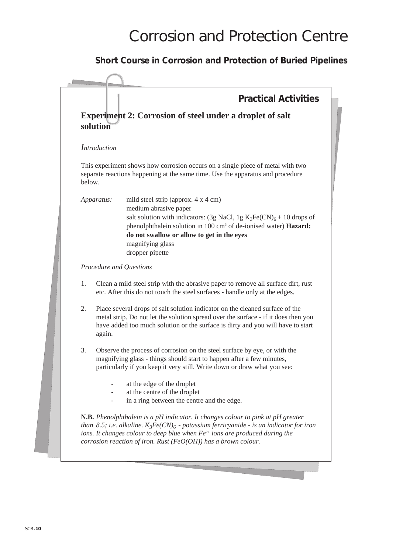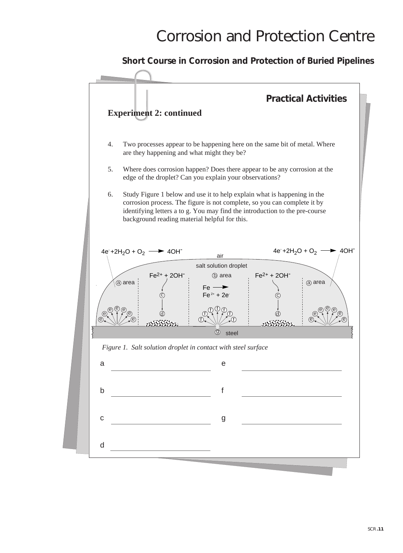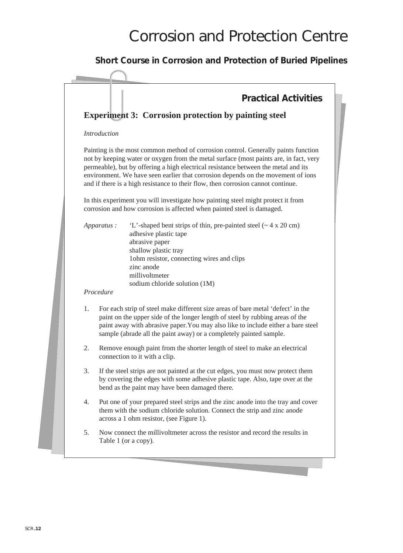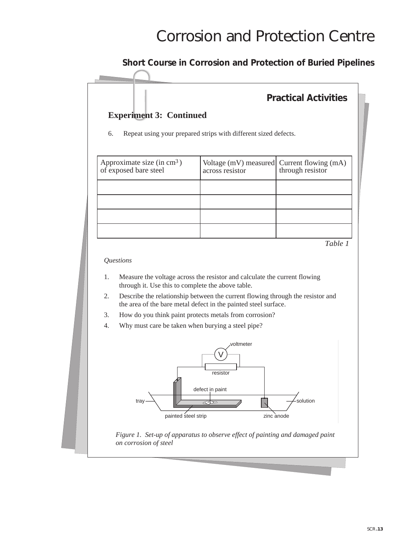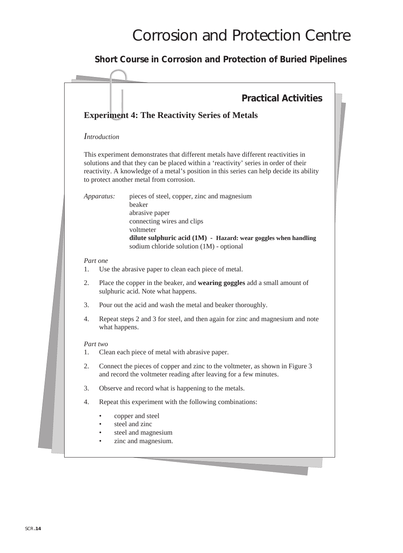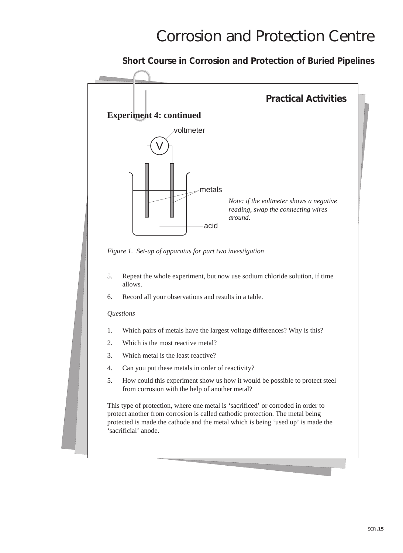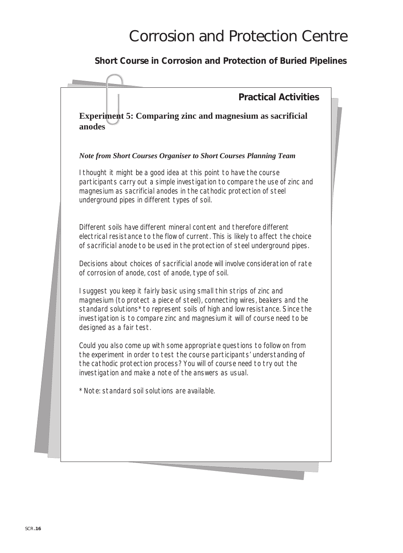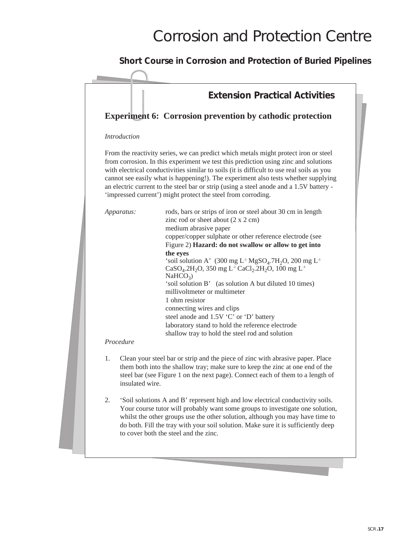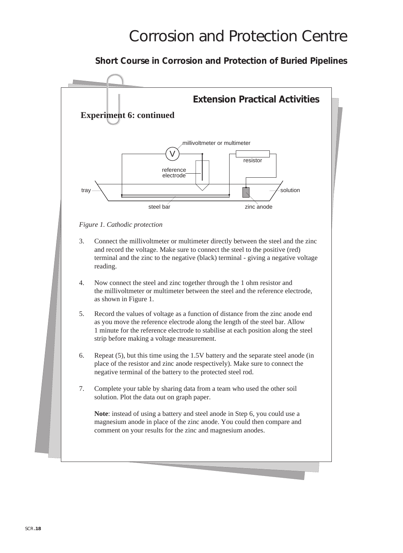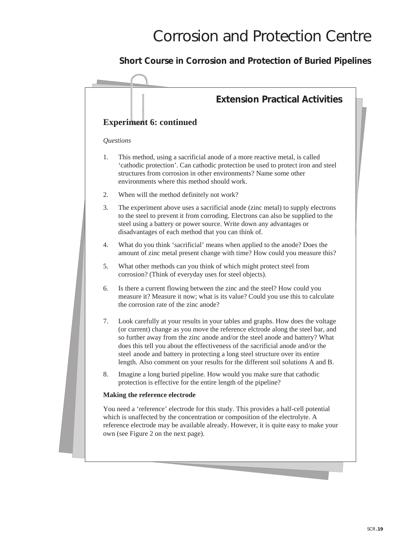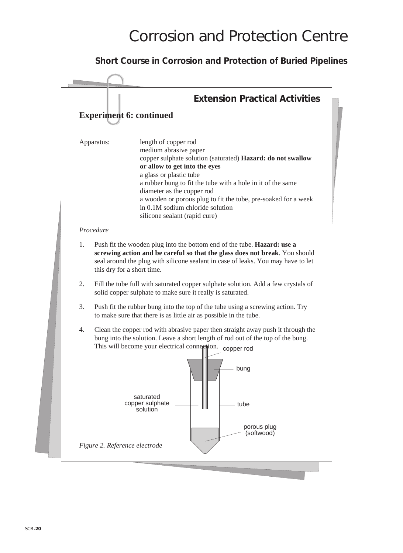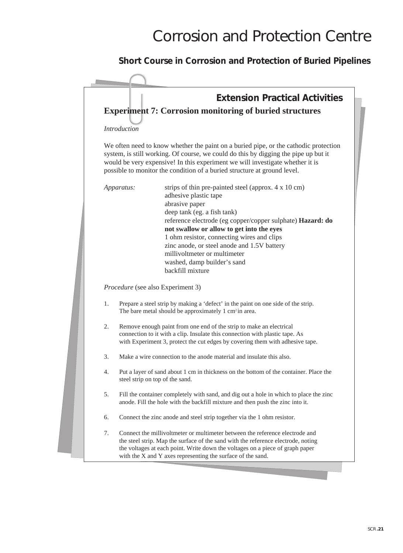|    | <b>Extension Practical Activities</b>                                                                                                                                                                                                                                                                                                    |
|----|------------------------------------------------------------------------------------------------------------------------------------------------------------------------------------------------------------------------------------------------------------------------------------------------------------------------------------------|
|    | <b>Experiment 7: Corrosion monitoring of buried structures</b>                                                                                                                                                                                                                                                                           |
|    | <i>Introduction</i>                                                                                                                                                                                                                                                                                                                      |
|    |                                                                                                                                                                                                                                                                                                                                          |
|    | We often need to know whether the paint on a buried pipe, or the cathodic protection<br>system, is still working. Of course, we could do this by digging the pipe up but it<br>would be very expensive! In this experiment we will investigate whether it is<br>possible to monitor the condition of a buried structure at ground level. |
|    | strips of thin pre-painted steel (approx. 4 x 10 cm)<br>Apparatus:<br>adhesive plastic tape                                                                                                                                                                                                                                              |
|    | abrasive paper                                                                                                                                                                                                                                                                                                                           |
|    | deep tank (eg. a fish tank)                                                                                                                                                                                                                                                                                                              |
|    | reference electrode (eg copper/copper sulphate) Hazard: do                                                                                                                                                                                                                                                                               |
|    | not swallow or allow to get into the eyes<br>1 ohm resistor, connecting wires and clips                                                                                                                                                                                                                                                  |
|    | zinc anode, or steel anode and 1.5V battery                                                                                                                                                                                                                                                                                              |
|    | millivoltmeter or multimeter                                                                                                                                                                                                                                                                                                             |
|    | washed, damp builder's sand                                                                                                                                                                                                                                                                                                              |
|    | backfill mixture                                                                                                                                                                                                                                                                                                                         |
|    | <i>Procedure</i> (see also Experiment 3)                                                                                                                                                                                                                                                                                                 |
| 1. | Prepare a steel strip by making a 'defect' in the paint on one side of the strip.<br>The bare metal should be approximately 1 cm <sup>2</sup> in area.                                                                                                                                                                                   |
| 2. | Remove enough paint from one end of the strip to make an electrical<br>connection to it with a clip. Insulate this connection with plastic tape. As<br>with Experiment 3, protect the cut edges by covering them with adhesive tape.                                                                                                     |
| 3. | Make a wire connection to the anode material and insulate this also.                                                                                                                                                                                                                                                                     |
| 4. | Put a layer of sand about 1 cm in thickness on the bottom of the container. Place the<br>steel strip on top of the sand.                                                                                                                                                                                                                 |
| 5. | Fill the container completely with sand, and dig out a hole in which to place the zinc<br>anode. Fill the hole with the backfill mixture and then push the zinc into it.                                                                                                                                                                 |
| 6. | Connect the zinc anode and steel strip together via the 1 ohm resistor.                                                                                                                                                                                                                                                                  |
| 7. | Connect the millivoltmeter or multimeter between the reference electrode and<br>the steel strip. Map the surface of the sand with the reference electrode, noting                                                                                                                                                                        |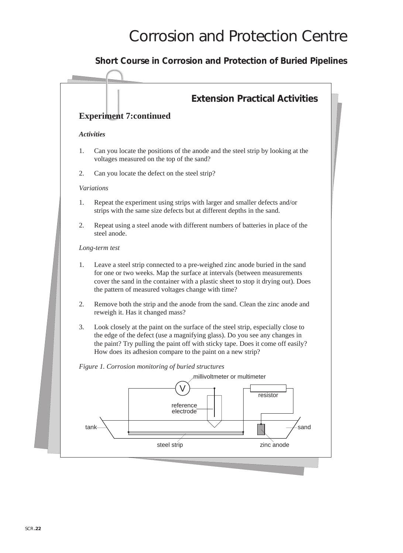